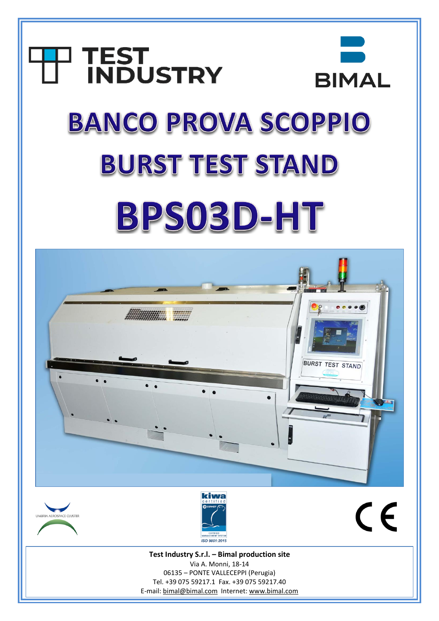# **TEST<br>INDUSTRY BIMAL BANCO PROVA SCOPPIO BURST TEST STAND** BPS03D-HT



E-mail: [bimal@bimal.com](mailto:bimal@bimal.com) Internet: [www.bimal.com](http://www.bimal.com/)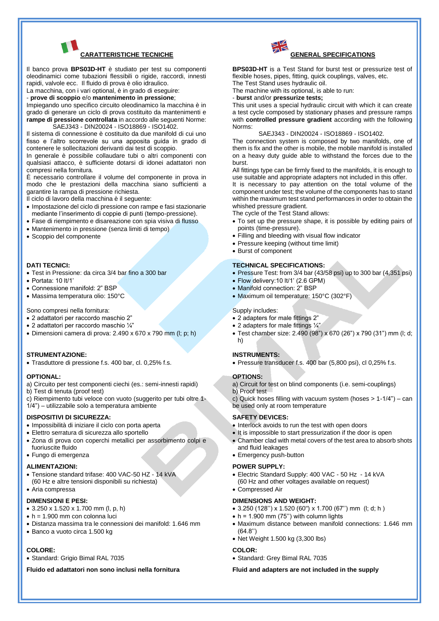

Il banco prova **BPS03D-HT** è studiato per test su componenti oleodinamici come tubazioni flessibili o rigide, raccordi, innesti rapidi, valvole ecc. Il fluido di prova è olio idraulico.

La macchina, con i vari optional, è in grado di eseguire:

- **prove di scoppio** e/o **mantenimento in pressione**;

Impiegando uno specifico circuito oleodinamico la macchina è in grado di generare un ciclo di prova costituito da mantenimenti e **rampe di pressione controllata** in accordo alle seguenti Norme: SAEJ343 - DIN20024 - ISO18869 - ISO1402.

Il sistema di connessione è costituito da due manifold di cui uno fisso e l'altro scorrevole su una apposita guida in grado di contenere le sollecitazioni derivanti dai test di scoppio.

In generale è possibile collaudare tubi o altri componenti con qualsiasi attacco, è sufficiente dotarsi di idonei adattatori non compresi nella fornitura.

È necessario controllare il volume del componente in prova in modo che le prestazioni della macchina siano sufficienti a garantire la rampa di pressione richiesta.

Il ciclo di lavoro della macchina è il seguente:

- Impostazione del ciclo di pressione con rampe e fasi stazionarie mediante l'inserimento di coppie di punti (tempo-pressione).
- Fase di riempimento e disareazione con spia visiva di flusso
- Mantenimento in pressione (senza limiti di tempo)
- Scoppio del componente

# **DATI TECNICI:**

- Test in Pressione: da circa 3/4 bar fino a 300 bar
- Portata: 10 lt/1'
- Connessione manifold: 2" BSP
- Massima temperatura olio: 150°C

Sono compresi nella fornitura:

- 2 adattatori per raccordo maschio 2"
- 2 adattatori per raccordo maschio ¼"
- Dimensioni camera di prova: 2.490 x 670 x 790 mm (l; p; h)

# **STRUMENTAZIONE:**

• Trasduttore di pressione f.s. 400 bar, cl. 0,25% f.s.

#### **OPTIONAL:**

- a) Circuito per test componenti ciechi (es.: semi-innesti rapidi)
- b) Test di tenuta (proof test)
- c) Riempimento tubi veloce con vuoto (suggerito per tubi oltre 1-
- 1/4") utilizzabile solo a temperatura ambiente

#### **DISPOSITIVI DI SICUREZZA:**

- Impossibilità di iniziare il ciclo con porta aperta
- Elettro serratura di sicurezza allo sportello
- Zona di prova con coperchi metallici per assorbimento colpi e fuoriuscite fluido
- Fungo di emergenza

# **ALIMENTAZIONI:**

- Tensione standard trifase: 400 VAC-50 HZ 14 kVA
- (60 Hz e altre tensioni disponibili su richiesta) • Aria compressa

# **DIMENSIONI E PESI:**

- 3.250 x 1.520 x 1.700 mm (l, p, h)
- $\bullet$  h = 1.900 mm con colonna luci
- Distanza massima tra le connessioni dei manifold: 1.646 mm
- Banco a vuoto circa 1.500 kg

# **COLORE:**

• Standard: Grigio Bimal RAL 7035

**Fluido ed adattatori non sono inclusi nella fornitura**



**BPS03D-HT** is a Test Stand for burst test or pressurize test of flexible hoses, pipes, fitting, quick couplings, valves, etc. The Test Stand uses hydraulic oil.

The machine with its optional, is able to run:

- **burst** and/or **pressurize tests;**

This unit uses a special hydraulic circuit with which it can create a test cycle composed by stationary phases and pressure ramps with **controlled pressure gradient** according with the following Norms:

#### SAEJ343 - DIN20024 - ISO18869 - ISO1402.

The connection system is composed by two manifolds, one of them is fix and the other is mobile, the mobile manifold is installed on a heavy duty guide able to withstand the forces due to the burst.

All fittings type can be firmly fixed to the manifolds, it is enough to use suitable and appropriate adapters not included in this offer. It is necessary to pay attention on the total volume of the component under test; the volume of the components has to stand within the maximum test stand performances in order to obtain the whished pressure gradient.

The cycle of the Test Stand allows:

- To set up the pressure shape, it is possible by editing pairs of points (time-pressure).
- Filling and bleeding with visual flow indicator
- Pressure keeping (without time limit)
- Burst of component

# **TECHNICAL SPECIFICATIONS:**

- Pressure Test: from 3/4 bar (43/58 psi) up to 300 bar (4,351 psi)
- Flow delivery:10 lt/1' (2.6 GPM)
- Manifold connection: 2" BSP
- Maximum oil temperature: 150°C (302°F)

# Supply includes:

- 2 adapters for male fittings 2"
- 2 adapters for male fittings  $\frac{1}{4}$ "
- Test chamber size: 2.490 (98") x 670 (26") x 790 (31") mm (l; d; h)

# **INSTRUMENTS:**

• Pressure transducer f.s. 400 bar (5,800 psi), cl 0,25% f.s.

# **OPTIONS:**

a) Circuit for test on blind components (i.e. semi-couplings)

b) Proof test

c) Quick hoses filling with vacuum system (hoses > 1-1/4") – can be used only at room temperature

#### **SAFETY DEVICES:**

- Interlock avoids to run the test with open doors
- It is impossible to start pressurization if the door is open
- Chamber clad with metal covers of the test area to absorb shots and fluid leakages
- Emergency push-button

#### **POWER SUPPLY:**

• Electric Standard Supply: 400 VAC - 50 Hz - 14 kVA (60 Hz and other voltages available on request)

# • Compressed Air

- **DIMENSIONS AND WEIGHT:**
- 3.250 (128'') x 1.520 (60") x 1.700 (67'') mm (l; d; h )
- $\bullet$  h = 1.900 mm (75") with column lights
- Maximum distance between manifold connections: 1.646 mm (64.8'')
- Net Weight 1.500 kg (3,300 lbs)

# **COLOR:**

• Standard: Grey Bimal RAL 7035

**Fluid and adapters are not included in the supply**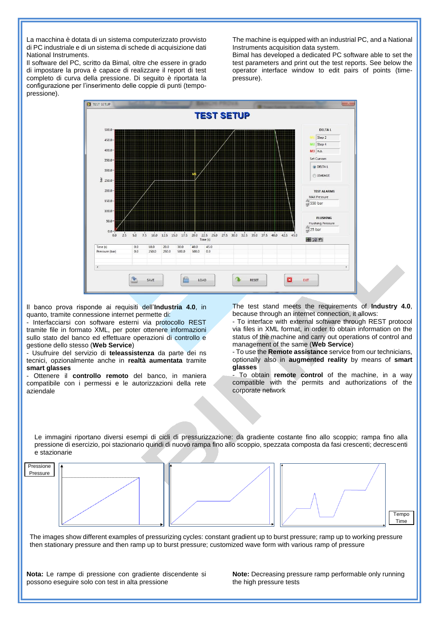La macchina è dotata di un sistema computerizzato provvisto di PC industriale e di un sistema di schede di acquisizione dati National Instruments.

Il software del PC, scritto da Bimal, oltre che essere in grado di impostare la prova è capace di realizzare il report di test completo di curva della pressione. Di seguito è riportata la configurazione per l'inserimento delle coppie di punti (tempopressione).

The machine is equipped with an industrial PC, and a National Instruments acquisition data system.

Bimal has developed a dedicated PC software able to set the test parameters and print out the test reports. See below the operator interface window to edit pairs of points (timepressure).



Il banco prova risponde ai requisiti dell'**Industria 4.0**, in quanto, tramite connessione internet permette di:

- Interfacciarsi con software esterni via protocollo REST tramite file in formato XML, per poter ottenere informazioni sullo stato del banco ed effettuare operazioni di controllo e gestione dello stesso (**Web Service**)

- Usufruire del servizio di **teleassistenza** da parte dei ns tecnici, opzionalmente anche in **realtà aumentata** tramite **smart glasses**

- Ottenere il **controllo remoto** del banco, in maniera compatibile con i permessi e le autorizzazioni della rete aziendale

The test stand meets the requirements of **Industry 4.0**, because through an internet connection, it allows:

- To interface with external software through REST protocol via files in XML format, in order to obtain information on the status of the machine and carry out operations of control and management of the same (**Web Service**)

- To use the **Remote assistance** service from our technicians, optionally also in **augmented reality** by means of **smart glasses**

- To obtain **remote control** of the machine, in a way compatible with the permits and authorizations of the corporate network

Le immagini riportano diversi esempi di cicli di pressurizzazione: da gradiente costante fino allo scoppio; rampa fino alla pressione di esercizio, poi stazionario quindi di nuovo rampa fino allo scoppio, spezzata composta da fasi crescenti; decrescenti e stazionarie



The images show different examples of pressurizing cycles: constant gradient up to burst pressure; ramp up to working pressure then stationary pressure and then ramp up to burst pressure; customized wave form with various ramp of pressure

**Nota:** Le rampe di pressione con gradiente discendente si possono eseguire solo con test in alta pressione

**Note:** Decreasing pressure ramp performable only running the high pressure tests